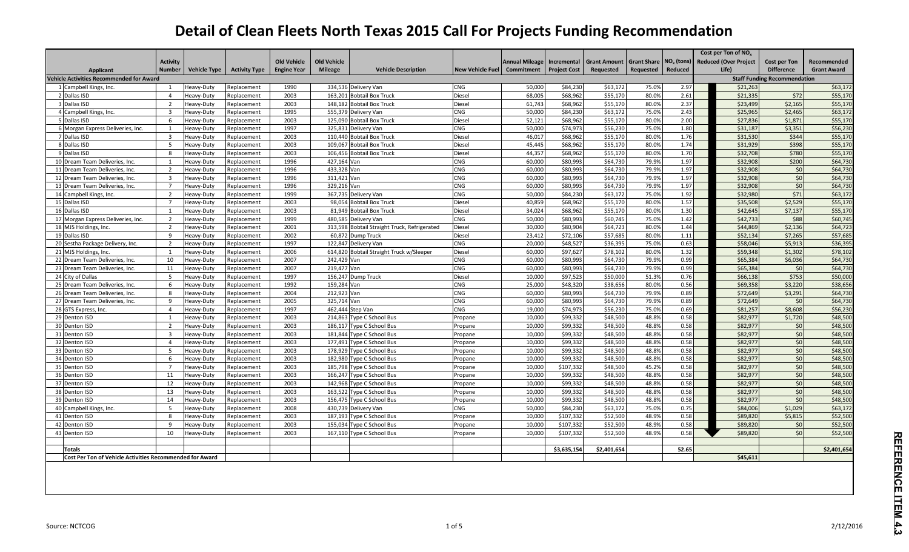|                                                                 |                         |                     |                      |                    |                    |                                              |                         |                       |                     |                     |                    |                              |                                     | Cost per Ton of NO <sub>x</sub> |                     |                    |  |  |
|-----------------------------------------------------------------|-------------------------|---------------------|----------------------|--------------------|--------------------|----------------------------------------------|-------------------------|-----------------------|---------------------|---------------------|--------------------|------------------------------|-------------------------------------|---------------------------------|---------------------|--------------------|--|--|
|                                                                 | <b>Activity</b>         |                     |                      | <b>Old Vehicle</b> | <b>Old Vehicle</b> |                                              |                         | <b>Annual Mileage</b> | Incremental         | <b>Grant Amount</b> | <b>Grant Share</b> | <b>NO<sub>x</sub></b> (tons) |                                     | <b>Reduced (Over Project</b>    | <b>Cost per Ton</b> | Recommended        |  |  |
| Applicant                                                       | <b>Number</b>           | <b>Vehicle Type</b> | <b>Activity Type</b> | <b>Engine Year</b> | <b>Mileage</b>     | <b>Vehicle Description</b>                   | <b>New Vehicle Fuel</b> | Commitment            | <b>Project Cost</b> | Requested           | Requested          | Reduced                      |                                     | Life)                           | <b>Difference</b>   | <b>Grant Award</b> |  |  |
| <b>Vehicle Activities Recommended for Award</b>                 |                         |                     |                      |                    |                    |                                              |                         |                       |                     |                     |                    |                              | <b>Staff Funding Recommendation</b> |                                 |                     |                    |  |  |
| 1 Campbell Kings, Inc.                                          | $\overline{1}$          | Heavy-Duty          | Replacement          | 1990               |                    | 334,536 Delivery Van                         | CNG                     | 50,000                | \$84,230            | \$63,172            | 75.0%              | 2.97                         |                                     | \$21,263                        |                     | \$63,172           |  |  |
| 2 Dallas ISD                                                    | $\overline{4}$          | Heavy-Duty          | Replacement          | 2003               |                    | 163,201 Bobtail Box Truck                    | Diesel                  | 68.005                | \$68,962            | \$55,170            | 80.0%              | 2.61                         |                                     | \$21,335                        | \$72                | \$55,170           |  |  |
| Dallas ISD                                                      | $\overline{z}$          | Heavy-Duty          | Replacement          | 2003               |                    | 148,182 Bobtail Box Truck                    | Diesel                  | 61,743                | \$68,962            | \$55,170            | 80.0%              | 2.37                         |                                     | \$23,499                        | \$2,165             | \$55,170           |  |  |
| Campbell Kings, Inc.                                            | $\overline{3}$          | Heavy-Duty          | Replacement          | 1995               |                    | 555,379 Delivery Van                         | CNG                     | 50,000                | \$84,230            | \$63,172            | 75.0%              | 2.43                         |                                     | \$25,965                        | \$2,465             | \$63,172           |  |  |
| Dallas ISD                                                      | 6                       | Heavy-Duty          | Replacement          | 2003               |                    | 125,090 Bobtail Box Truck                    | Diesel                  | 52,121                | \$68,962            | \$55,170            | 80.0%              | 2.00                         |                                     | \$27,836                        | \$1,871             | \$55,170           |  |  |
| 6 Morgan Express Deliveries, Inc.                               | $\overline{1}$          | <b>Heavy-Duty</b>   | Replacement          | 1997               |                    | 325.831 Delivery Van                         | CNG                     | 50.000                | \$74.973            | \$56,230            | 75.0%              | 1.80                         |                                     | \$31.187                        | \$3,351             | \$56,230           |  |  |
| 7 Dallas ISD                                                    | $\overline{\mathbf{3}}$ | Heavy-Duty          | Replacement          | 2003               |                    | 110.440 Bobtail Box Truck                    | Diesel                  | 46.01                 | \$68.962            | \$55.170            | 80.0%              | 1.76                         |                                     | \$31.530                        | \$344               | \$55,170           |  |  |
| Dallas ISD                                                      | -5                      | Heavy-Duty          | Replacement          | 2003               |                    | 109,067 Bobtail Box Truck                    | Diesel                  | 45,445                | \$68,962            | \$55,170            | 80.0%              | 1.74                         |                                     | \$31,929                        | \$398               | \$55,170           |  |  |
| Dallas ISD                                                      | 8                       | Heavy-Duty          | Replacement          | 2003               |                    | 106,456 Bobtail Box Truck                    | Diesel                  | 44,357                | \$68,962            | \$55,170            | 80.0%              | 1.70                         |                                     | \$32,708                        | \$780               | \$55,170           |  |  |
| 10 Dream Team Deliveries, Inc.                                  | $\overline{1}$          | Heavy-Duty          | Replacement          | 1996               | 427.164 Van        |                                              | <b>CNG</b>              | 60.000                | \$80,993            | \$64,730            | 79.9%              | 1.97                         |                                     | \$32.908                        | \$200               | \$64,730           |  |  |
| 11 Dream Team Deliveries, Inc.                                  | 2                       | Heavy-Duty          | Replacement          | 1996               | 433.328 Van        |                                              | <b>CNG</b>              | 60,000                | \$80,993            | \$64,730            | 79.9%              | 1.97                         |                                     | \$32.908                        | \$0                 | \$64,730           |  |  |
| 12 Dream Team Deliveries, Inc.                                  | $\overline{\mathbf{3}}$ | Heavy-Duty          | Replacement          | 1996               | 311,421 Van        |                                              | <b>CNG</b>              | 60,000                | \$80,993            | \$64,730            | 79.9%              | 1.97                         |                                     | \$32,908                        | \$0                 | \$64,730           |  |  |
| 13 Dream Team Deliveries, Inc.                                  |                         | Heavy-Duty          | Replacement          | 1996               | 329.216 Van        |                                              | CNG                     | 60,000                | \$80,993            | \$64,730            | 79.9%              | 1.97                         |                                     | \$32,908                        | \$0                 | \$64,730           |  |  |
| 14 Campbell Kings, Inc.                                         | $\overline{2}$          | Heavy-Duty          | Replacement          | 1999               |                    | 367,735 Delivery Van                         | CNG                     | 50,000                | \$84.230            | \$63,172            | 75.0%              | 1.92                         |                                     | \$32,980                        | \$71                | \$63,172           |  |  |
| 15 Dallas ISD                                                   | $\overline{7}$          | Heavy-Duty          | Replacement          | 2003               |                    | 98.054 Bobtail Box Truck                     | Diesel                  | 40.859                | \$68.962            | \$55.170            | 80.0%              | 1.57                         |                                     | \$35.508                        | \$2,529             | \$55,170           |  |  |
| 16 Dallas ISD                                                   | $\overline{1}$          | Heavy-Duty          | Replacement          | 2003               |                    | 81,949 Bobtail Box Truck                     | Diesel                  | 34,024                | \$68,962            | \$55,170            | 80.0%              | 1.30                         |                                     | \$42,645                        | \$7,137             | \$55,170           |  |  |
| 17 Morgan Express Deliveries, Inc.                              | $\overline{2}$          | Heavy-Duty          | Replacement          | 1999               |                    | 480,585 Delivery Van                         | CNG                     | 50,000                | \$80,993            | \$60,745            | 75.0%              | 1.42                         |                                     | \$42,733                        | \$88                | \$60,745           |  |  |
| 18 MJS Holdings, Inc.                                           | $\overline{2}$          | Heavy-Duty          | Replacement          | 2001               |                    | 313,598 Bobtail Straight Truck, Refrigerated | Diesel                  | 30,000                | \$80,904            | \$64,723            | 80.0%              | 1.44                         |                                     | \$44,869                        | \$2,136             | \$64,723           |  |  |
| 19 Dallas ISD                                                   | <sup>9</sup>            | Heavy-Duty          | Replacement          | 2002               |                    | 60.872 Dump Truck                            | Diesel                  | 23.412                | \$72,106            | \$57.685            | 80.0%              | 1.11                         |                                     | \$52.134                        | \$7.265             | \$57,685           |  |  |
| 20 Sestha Package Delivery, Inc.                                | $\overline{2}$          | Heavy-Duty          | Replacement          | 1997               |                    | 122,847 Delivery Van                         | CNG                     | 20,000                | \$48,527            | \$36,395            | 75.0%              | 0.63                         |                                     | \$58,046                        | \$5,913             | \$36,395           |  |  |
| 21 MJS Holdings, Inc.                                           |                         | Heavy-Duty          | Replacement          | 2006               |                    | 614,820 Bobtail Straight Truck w/Sleeper     | Diesel                  | 60,000                | \$97,627            | \$78,102            | 80.0%              | 1.32                         |                                     | \$59,348                        | \$1,302             | \$78,102           |  |  |
| 22 Dream Team Deliveries, Inc.                                  | 10                      | Heavy-Duty          | Replacement          | 2007               | 242,429 Van        |                                              | CNG                     | 60,000                | \$80,993            | \$64,730            | 79.9%              | 0.99                         |                                     | \$65,384                        | \$6,036             | \$64,730           |  |  |
| 23 Dream Team Deliveries, Inc.                                  | 11                      | Heavy-Duty          | Replacement          | 2007               | 219.477 Van        |                                              | CNG                     | 60,000                | \$80,993            | \$64,730            | 79.9%              | 0.99                         |                                     | \$65,384                        | \$0                 | \$64,730           |  |  |
| 24 City of Dallas                                               | -5                      | Heavy-Duty          | Replacement          | 1997               |                    | 156.247 Dump Truck                           | Diesel                  | 10,000                | \$97,523            | \$50,000            | 51.3%              | 0.76                         |                                     | \$66,138                        | \$753               | \$50,000           |  |  |
| 25 Dream Team Deliveries, Inc.                                  | 6                       | Heavy-Duty          | Replacement          | 1992               | 159,284 Van        |                                              | CNG                     | 25,000                | \$48,320            | \$38,656            | 80.0%              | 0.56                         |                                     | \$69,358                        | \$3,220             | \$38,656           |  |  |
| 26 Dream Team Deliveries, Inc.                                  | -8                      | Heavy-Duty          | Replacement          | 2004               | 212,923 Van        |                                              | CNG                     | 60,000                | \$80,993            | \$64,730            | 79.9%              | 0.89                         |                                     | \$72,649                        | \$3,291             | \$64,730           |  |  |
| 27 Dream Team Deliveries, Inc.                                  | 9                       | Heavy-Duty          | Replacement          | 2005               | 325,714 Van        |                                              | CNG                     | 60,000                | \$80,993            | \$64,730            | 79.9%              | 0.89                         |                                     | \$72,649                        | \$0                 | \$64,730           |  |  |
| 28 GTS Express, Inc.                                            | $\overline{a}$          | Heavy-Duty          | Replacement          | 1997               |                    | 462.444 Step Van                             | <b>CNG</b>              | 19.000                | \$74.973            | \$56,230            | 75.0%              | 0.69                         |                                     | \$81.257                        | \$8,608             | \$56,230           |  |  |
| 29 Denton ISD                                                   | $\overline{1}$          | Heavy-Duty          | Replacement          | 2003               |                    | 214,863 Type C School Bus                    | Propane                 | 10,000                | \$99,332            | \$48,500            | 48.8%              | 0.58                         |                                     | \$82,977                        | \$1,720             | \$48,500           |  |  |
| 30 Denton ISD                                                   | $\overline{2}$          | Heavy-Duty          | Replacement          | 2003               |                    | 186,117 Type C School Bus                    | Propane                 | 10,000                | \$99,332            | \$48,500            | 48.8%              | 0.58                         |                                     | \$82,977                        | \$0                 | \$48,500           |  |  |
| 31 Denton ISD                                                   | $\overline{3}$          | Heavy-Duty          | Replacement          | 2003               |                    | 181,844 Type C School Bus                    | Propane                 | 10,000                | \$99,332            | \$48,500            | 48.8%              | 0.58                         |                                     | \$82,977                        | \$0                 | \$48,500           |  |  |
| 32 Denton ISD                                                   | $\overline{4}$          | <b>Heavy-Duty</b>   | Replacement          | 2003               |                    | 177,491 Type C School Bus                    | Propane                 | 10,000                | \$99,332            | \$48,500            | 48.8%              | 0.58                         |                                     | \$82,977                        | \$0                 | \$48,500           |  |  |
| 33 Denton ISD                                                   | .5                      | Heavy-Duty          | Replacement          | 2003               |                    | 178,929 Type C School Bus                    | Propane                 | 10.000                | \$99,332            | \$48,500            | 48.8%              | 0.58                         |                                     | \$82.977                        | \$0                 | \$48,500           |  |  |
| 34 Denton ISD                                                   | 6                       | Heavy-Duty          | Replacement          | 2003               |                    | 182,980 Type C School Bus                    | Propane                 | 10,000                | \$99,332            | \$48,500            | 48.8%              | 0.58                         |                                     | \$82,977                        | \$0                 | \$48,500           |  |  |
| 35 Denton ISD                                                   | $\overline{7}$          | Heavy-Duty          | Replacement          | 2003               |                    | 185,798 Type C School Bus                    | Propane                 | 10,000                | \$107,332           | \$48,500            | 45.2%              | 0.58                         |                                     | \$82,977                        | \$0                 | \$48,500           |  |  |
| 36 Denton ISD                                                   | 11                      | Heavy-Duty          | Replacement          | 2003               |                    | 166,247 Type C School Bus                    | Propane                 | 10,000                | \$99,332            | \$48,500            | 48.8%              | 0.58                         |                                     | \$82,977                        | \$0                 | \$48,500           |  |  |
| 37 Denton ISD                                                   | 12                      | Heavy-Duty          | Replacement          | 2003               |                    | 142,968 Type C School Bus                    | Propane                 | 10.000                | \$99,332            | \$48.500            | 48.8%              | 0.58                         |                                     | \$82.977                        | \$0                 | \$48,500           |  |  |
| 38 Denton ISD                                                   | 13                      | Heavy-Duty          | Replacement          | 2003               |                    | 163,522 Type C School Bus                    | Propane                 | 10,000                | \$99,332            | \$48,500            | 48.8%              | 0.58                         |                                     | \$82,977                        | \$0                 | \$48,500           |  |  |
| 39 Denton ISD                                                   | 14                      | Heavy-Duty          | Replacement          | 2003               |                    | 156,475 Type C School Bus                    | Propane                 | 10,000                | \$99,332            | \$48,500            | 48.8%              | 0.58                         |                                     | \$82,977                        | \$0                 | \$48,500           |  |  |
| 40 Campbell Kings, Inc.                                         | 5                       | Heavy-Duty          | Replacement          | 2008               |                    | 430,739 Delivery Van                         | CNG                     | 50,000                | \$84.230            | \$63,172            | 75.0%              | 0.75                         |                                     | \$84,006                        | \$1,029             | \$63,172           |  |  |
| 41 Denton ISD                                                   | 8                       | Heavy-Duty          | Replacement          | 2003               |                    | 187,193 Type C School Bus                    | Propane                 | 10.000                | \$107.332           | \$52.500            | 48.9%              | 0.58                         |                                     | \$89.820                        | \$5,815             | \$52,500           |  |  |
| 42 Denton ISD                                                   | q                       | Heavy-Duty          | Replacement          | 2003               |                    | 155,034 Type C School Bus                    | Propane                 | 10,000                | \$107,332           | \$52,500            | 48.9%              | 0.58                         |                                     | \$89,820                        | \$0                 | \$52,500           |  |  |
| 43 Denton ISD                                                   | 10                      | Heavy-Duty          | Replacement          | 2003               |                    | 167,110 Type C School Bus                    | Propane                 | 10,000                | \$107,332           | \$52,500            | 48.9%              | 0.58                         |                                     | \$89,820                        | \$0                 | \$52,500           |  |  |
| <b>Totals</b>                                                   |                         |                     |                      |                    |                    |                                              |                         |                       | \$3,635,154         | \$2,401,654         |                    | 52.65                        |                                     |                                 |                     | \$2,401,654        |  |  |
| <b>Cost Per Ton of Vehicle Activities Recommended for Award</b> |                         |                     |                      |                    |                    |                                              |                         |                       |                     |                     |                    |                              |                                     | \$45.611                        |                     |                    |  |  |
|                                                                 |                         |                     |                      |                    |                    |                                              |                         |                       |                     |                     |                    |                              |                                     |                                 |                     |                    |  |  |
|                                                                 |                         |                     |                      |                    |                    |                                              |                         |                       |                     |                     |                    |                              |                                     |                                 |                     |                    |  |  |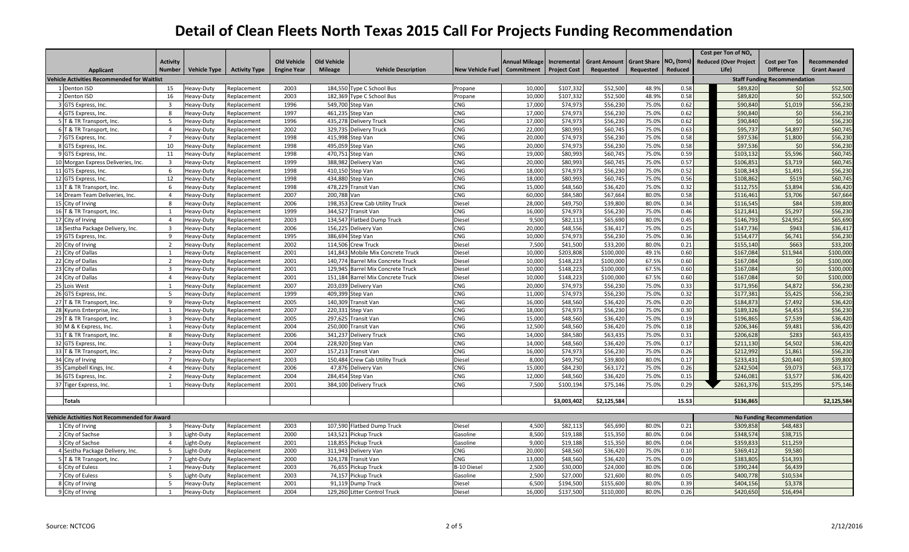|                                                             |                                  |                          |                            |                    |                    |                                              |                         |                       |                      |                      |                    |                              | Cost per Ton of $NOx$ |                              |                                              |                    |
|-------------------------------------------------------------|----------------------------------|--------------------------|----------------------------|--------------------|--------------------|----------------------------------------------|-------------------------|-----------------------|----------------------|----------------------|--------------------|------------------------------|-----------------------|------------------------------|----------------------------------------------|--------------------|
|                                                             | <b>Activity</b>                  |                          |                            | <b>Old Vehicle</b> | <b>Old Vehicle</b> |                                              |                         | <b>Annual Mileage</b> | Incremental          | <b>Grant Amount</b>  | <b>Grant Share</b> | <b>NO<sub>x</sub></b> (tons) |                       | <b>Reduced (Over Project</b> | Cost per Ton                                 | Recommended        |
| <b>Applicant</b>                                            | Number                           | <b>Vehicle Type</b>      | <b>Activity Type</b>       | <b>Engine Year</b> | <b>Mileage</b>     | <b>Vehicle Description</b>                   | <b>New Vehicle Fuel</b> | Commitment            | <b>Project Cost</b>  | <b>Requested</b>     | Requested          | Reduced                      |                       | Life)                        | <b>Difference</b>                            | <b>Grant Award</b> |
| <b>Vehicle Activities Recommended for Waitlist</b>          |                                  |                          |                            |                    |                    |                                              |                         |                       |                      |                      |                    |                              |                       |                              | <b>Staff Funding Recommendation</b>          |                    |
| 1 Denton ISD                                                | 15                               | leavy-Duty               | Replacement                | 2003               |                    | 184.550 Type C School Bus                    | Propane                 | 10,000                | \$107.332            | \$52,500             | 48.9%              | 0.58                         |                       | \$89.820                     | 50 <sup>1</sup>                              | \$52,500           |
| 2 Denton ISD                                                | 16                               | leavy-Duty               | Replacement                | 2003               |                    | 182,369 Type C School Bus                    | Propane                 | 10,000                | \$107,332            | \$52,500             | 48.9%              | 0.58                         |                       | \$89,820                     | \$0                                          | \$52,500           |
| 3 GTS Express, Inc.                                         | $\overline{3}$                   | leavy-Duty               | Replacement                | 1996               |                    | 549,700 Step Van                             | CNG                     | 17,000                | \$74,973             | \$56,230             | 75.0%              | 0.62                         |                       | \$90,840                     | \$1,019                                      | \$56,230           |
| 4 GTS Express, Inc.                                         | 8                                | leavy-Duty               | Replacement                | 1997               |                    | 461,235 Step Van                             | CNG                     | 17,000                | \$74,973             | \$56,230             | 75.0%              | 0.62                         |                       | \$90,840                     | \$0                                          | \$56,230           |
| 5 T & TR Transport, Inc.                                    | 5                                | leavy-Duty               | eplacement                 | 1996               |                    | 435,278 Delivery Truck                       | CNG                     | 17,000                | \$74,973             | \$56,230             | 75.0%              | 0.62                         |                       | \$90,840                     | \$0                                          | \$56,230           |
| 6 T & TR Transport, Inc.                                    | $\overline{4}$                   | leavy-Duty               | Replacement                | 2002               |                    | 329,735 Delivery Truck                       | CNG                     | 22,000                | \$80,993             | \$60,745             | 75.0%              | 0.63                         |                       | \$95,737                     | \$4,897                                      | \$60,745           |
| 7 GTS Express, Inc.                                         |                                  | leavy-Duty               | Replacement                | 1998               |                    | 415,998 Step Van                             | CNG                     | 20,000                | \$74,973             | \$56,230             | 75.0%              | 0.58                         |                       | \$97,536                     | \$1,800                                      | \$56,230           |
| 8 GTS Express, Inc.                                         | 10                               | leavy-Duty               | Replacement                | 1998               | 495,059            | Step Van                                     | CNG                     | 20,000                | \$74,973             | \$56,230             | 75.0%              | 0.58                         |                       | \$97,536                     | \$0                                          | \$56,230           |
| 9 GTS Express, Inc.                                         | 11                               | leavy-Duty               | Replacement                | 1998               |                    | 470,751 Step Van                             | CNG                     | 19,000                | \$80,993             | \$60,745             | 75.0%              | 0.59                         |                       | \$103,132                    | \$5,596                                      | \$60,745           |
| 10 Morgan Express Deliveries, Inc.                          | $\overline{\mathbf{3}}$          | leavy-Duty               | Replacement                | 1999               |                    | 388,982 Delivery Van                         | CNG                     | 20,000                | \$80,993             | \$60,745             | 75.0%              | 0.57                         |                       | \$106,851                    | \$3,719                                      | \$60,745           |
| 11 GTS Express, Inc.                                        | 6                                | leavy-Duty               | Replacement                | 1998               |                    | 410,150 Step Van                             | CNG                     | 18,000                | \$74,973             | \$56,230             | 75.0%              | 0.52                         |                       | \$108,343                    | \$1,491                                      | \$56,230           |
| 12 GTS Express, Inc.                                        | 12                               | leavy-Duty               | eplacement                 | 1998               |                    | 434,880 Step Van                             | CNG                     | 18,000                | \$80,993             | \$60,745             | 75.0%              | 0.56                         |                       | \$108,862                    | \$519                                        | \$60,745           |
| 13 T & TR Transport, Inc.                                   | 6                                | leavy-Duty               | Replacement                | 1998               | 478,229            | Transit Van                                  | CNG                     | 15,000                | \$48,560             | \$36,420             | 75.0%              | 0.32                         |                       | \$112,755                    | \$3,894                                      | \$36,420           |
| 14 Dream Team Deliveries, Inc.                              | $\overline{4}$                   | leavy-Duty               | Replacement                | 2007               | 200.788 Van        |                                              | CNG                     | 60,000                | \$84,580             | \$67,664             | 80.0%              | 0.58                         |                       | \$116,461                    | \$3,706                                      | \$67,664           |
| 15 City of Irving                                           | $\mathbf{R}$                     | leavy-Duty               | eplacement                 | 2006               |                    | 198,353 Crew Cab Utility Truck               | Diesel                  | 28,000                | \$49,750             | \$39,800             | 80.0%              | 0.34                         |                       | \$116,545                    | \$84                                         | \$39,800           |
| 16 T & TR Transport, Inc.                                   | $\overline{1}$                   | Heavy-Duty               | Replacement                | 1999               |                    | 344,527 Transit Van                          | CNG                     | 16,000                | \$74,973             | \$56,230             | 75.0%              | 0.46                         |                       | \$121,841                    | \$5,297                                      | \$56,230           |
| 17 City of Irving                                           | $\overline{4}$                   | leavy-Duty               | Replacement                | 2003               |                    | 134,547 Flatbed Dump Truck                   | Diesel                  | 9,500                 | \$82,113             | \$65,690             | 80.0%              | 0.45                         |                       | \$146,793                    | \$24,952                                     | \$65,690           |
| 18 Sestha Package Delivery, Inc.                            | $\overline{3}$                   | leavy-Duty               | Replacement                | 2006               |                    | 156,225 Delivery Van                         | CNG                     | 20,000                | \$48,556             | \$36,417             | 75.0%              | 0.25                         |                       | \$147,736                    | \$943                                        | \$36,417           |
| 19 GTS Express, Inc.                                        | $\mathbf{q}$                     | leavy-Duty               | eplacement                 | 1995               | 386,694            | Step Van                                     | CNG                     | 10,000                | \$74,973             | \$56,230             | 75.0%              | 0.36                         |                       | \$154,477                    | \$6,741                                      | \$56,230           |
| 20 City of Irving                                           | $\overline{2}$                   | leavy-Duty               | Replacement                | 2002               |                    | 114,506 Crew Truck                           | Diesel                  | 7,500                 | \$41,500             | \$33,200             | 80.0%              | 0.21                         |                       | \$155,140                    | \$663                                        | \$33,200           |
| 21 City of Dallas                                           | $\mathbf{1}$                     | leavy-Duty               | eplacement                 | 2001               | 141,843            | Mobile Mix Concrete Truck                    | Diesel                  | 10,000                | \$203,808            | \$100,000            | 49.1%              | 0.60                         |                       | \$167,084                    | \$11,944                                     | \$100,000          |
| 22 City of Dallas                                           | $\overline{2}$                   | leavy-Duty               | eplacement                 | 2001               | 140.774            | <b>Barrel Mix Concrete Truck</b>             | Diesel                  | 10,000                | \$148,223            | \$100,000            | 67.5%              | 0.60                         |                       | \$167,084                    | \$0                                          | \$100,000          |
| 23 City of Dallas                                           | $\overline{3}$                   | leavy-Duty               | Replacement                | 2001               |                    | 129,945 Barrel Mix Concrete Truck            | Diesel                  | 10,000                | \$148,223            | \$100,000            | 67.5%              | 0.60                         |                       | \$167,084                    | \$0                                          | \$100,000          |
| 24 City of Dallas                                           | $\overline{4}$                   | leavy-Duty               | Replacement                | 2001               | 151,184            | <b>Barrel Mix Concrete Truck</b>             | Diesel                  | 10,000                | \$148,223            | \$100,000            | 67.5%              | 0.60                         |                       | \$167,084                    | \$0                                          | \$100,000          |
| 25 Lois West                                                | $\overline{1}$                   | leavy-Duty               | Replacement                | 2007               |                    | 203,039 Delivery Van                         | CNG                     | 20,000                | \$74,973             | \$56,230             | 75.0%              | 0.33                         |                       | \$171,956                    | \$4,872                                      | \$56,230           |
| 26 GTS Express, Inc.                                        | -5                               | leavy-Duty               | eplacement                 | 1999               |                    | 409,399 Step Van                             | CNG                     | 11,000                | \$74,973             | \$56,230             | 75.0%              | 0.32                         |                       | \$177,381                    | \$5,425                                      | \$56,230           |
| 27 T & TR Transport, Inc.                                   | 9                                | leavy-Duty               | Replacement                | 2005               |                    | 140,309 Transit Van                          | CNG                     | 16,000                | \$48,560             | \$36,420             | 75.0%              | 0.20                         |                       | \$184,873                    | \$7,492                                      | \$36,420           |
| 28 Kyunis Enterprise, Inc.                                  | 1                                | leavy-Duty               | Replacement                | 2007               |                    | 220,331 Step Van                             | CNG                     | 18,000                | \$74,973             | \$56,230             | 75.0%              | 0.30                         |                       | \$189,326                    | \$4,453                                      | \$56,230           |
| 29 T & TR Transport, Inc.                                   | $\overline{3}$                   | leavy-Duty               | Replacement                | 2005               |                    | 297,625 Transit Van                          | CNG                     | 15,000                | \$48,560             | \$36,420             | 75.0%              | 0.19                         |                       | \$196,865                    | \$7,539                                      | \$36,420           |
| 30 M & K Express, Inc.                                      |                                  | leavy-Duty               | eplacement                 | 2004               | 250.000            | <b>Transit Van</b>                           | CNG                     | 12,500                | \$48,560             | \$36,420             | 75.0%              | 0.18                         |                       | \$206.346                    | \$9,481                                      | \$36,420           |
| 31 T & TR Transport, Inc.                                   | 8                                | Heavy-Duty               | Replacement                | 2006               |                    | 341,237 Delivery Truck                       | CNG                     | 14,000                | \$84,580             | \$63,435             | 75.0%              | 0.31                         |                       | \$206,628                    | \$283                                        | \$63,435           |
| 32 GTS Express. Inc.                                        | $\overline{1}$                   | leavy-Duty               | Replacement                | 2004               |                    | 228,920 Step Van                             | CNG                     | 14.000                | \$48,560             | \$36,420             | 75.0%              | 0.17                         |                       | \$211.130                    | \$4.502                                      | \$36,420           |
| 33 T & TR Transport, Inc.                                   | $\overline{2}$                   | leavy-Duty               | eplacement                 | 2007               |                    | 157,213 Transit Van                          | CNG                     | 16,000                | \$74,973             | \$56,230             | 75.0%              | 0.26                         |                       | \$212,992                    | \$1,861                                      | \$56,230           |
| 34 City of Irving                                           | $\overline{7}$                   | leavy-Duty               | Replacement                | 2003               |                    | 150,484 Crew Cab Utility Truck               | Diesel                  | 8,000                 | \$49,750             | \$39,800             | 80.0%              | 0.17                         |                       | \$233,431                    | \$20,440                                     | \$39,800           |
| 35 Campbell Kings, Inc.                                     | $\overline{4}$                   | leavy-Duty               | Replacement                | 2006               | 47,876             | Delivery Van                                 | CNG                     | 15,000                | \$84,230             | \$63,172             | 75.0%              | 0.26                         |                       | \$242,504                    | \$9,073                                      | \$63,172           |
| 36 GTS Express, Inc.                                        | $\overline{z}$                   | leavy-Duty               | Replacement                | 2004               |                    | 284,454 Step Van                             | CNG                     | 12,000                | \$48,560             | \$36,420             | 75.0%              | 0.15                         |                       | \$246,081                    | \$3,577                                      | \$36,420           |
| 37 Tiger Express, Inc.                                      | 1                                | leavy-Duty               | Replacement                | 2001               |                    | 384,100 Delivery Truck                       | CNG                     | 7,500                 | \$100,194            | \$75,146             | 75.0%              | 0.29                         |                       | \$261,376                    | \$15,295                                     | \$75,146           |
|                                                             |                                  |                          |                            |                    |                    |                                              |                         |                       |                      |                      |                    |                              |                       |                              |                                              |                    |
| <b>Totals</b>                                               |                                  |                          |                            |                    |                    |                                              |                         |                       | \$3,003,402          | \$2,125,584          |                    | 15.53                        |                       | \$136,865                    |                                              | \$2,125,584        |
|                                                             |                                  |                          |                            |                    |                    |                                              |                         |                       |                      |                      |                    |                              |                       |                              |                                              |                    |
| <b>Vehicle Activities Not Recommended for Award</b>         | $\overline{3}$                   |                          |                            | 2003               |                    |                                              |                         | 4,500                 | \$82,113             | \$65,690             | 80.0%              | 0.21                         |                       | \$309,858                    | <b>No Funding Recommendation</b><br>\$48,483 |                    |
| 1 City of Irving                                            |                                  | Heavy-Duty               | Replacement                | 2000               |                    | 107,590 Flatbed Dump Truck                   | Diesel                  |                       |                      |                      | 80.0%              | 0.04                         |                       |                              |                                              |                    |
| 2 City of Sachse<br>3 City of Sachse                        | $\overline{3}$<br>$\overline{4}$ | ight-Duty<br>ight-Duty   | Replacement<br>Replacement | 2001               |                    | 143.521 Pickup Truck<br>118,855 Pickup Truck | Gasoline<br>Gasoline    | 8,500<br>9,000        | \$19,188<br>\$19,188 | \$15,350<br>\$15,350 | 80.0%              | 0.04                         |                       | \$348,574<br>\$359,833       | \$38,715<br>\$11,259                         |                    |
|                                                             | .5                               |                          |                            | 2000               |                    | 311,943 Delivery Van                         | CNG                     | 20,000                | \$48,560             | \$36,420             | 75.0%              | 0.10                         |                       |                              | \$9,580                                      |                    |
| 4 Sestha Package Delivery, Inc.<br>5 T & TR Transport, Inc. | $\overline{7}$                   | ight-Duty.<br>Light-Duty | Replacement<br>Replacement | 2000               |                    | 324,178 Transit Van                          | CNG                     | 13,000                | \$48,560             | \$36,420             | 75.0%              | 0.09                         |                       | \$369,412<br>\$383,805       | \$14,393                                     |                    |
| 6 City of Euless                                            | 1                                | leavy-Duty               | Replacement                | 2003               | 76,655             | Pickup Truck                                 | <b>B-10 Diesel</b>      | 2,500                 | \$30,000             | \$24,000             | 80.0%              | 0.06                         |                       | \$390.244                    | \$6,439                                      |                    |
| 7 City of Euless                                            | .5                               | ight-Duty                | Replacement                | 2003               |                    | 74,157 Pickup Truck                          | Gasoline                | 2,500                 | \$27,000             | \$21,600             | 80.0%              | 0.05                         |                       | \$400,778                    | \$10,534                                     |                    |
| 8 City of Irving                                            | 5                                | leavy-Duty               | eplacement                 | 2001               |                    | 91,119 Dump Truck                            | Diesel                  | 6,500                 | \$194,500            | \$155,600            | 80.0%              | 0.39                         |                       | \$404,156                    | \$3,378                                      |                    |
| 9 City of Irving                                            | $\overline{1}$                   | Heavy-Duty               | Replacement                | 2004               |                    | 129,260 Litter Control Truck                 | Diesel                  | 16,000                | \$137,500            | \$110,000            | 80.0%              | 0.26                         |                       | \$420,650                    | \$16,494                                     |                    |
|                                                             |                                  |                          |                            |                    |                    |                                              |                         |                       |                      |                      |                    |                              |                       |                              |                                              |                    |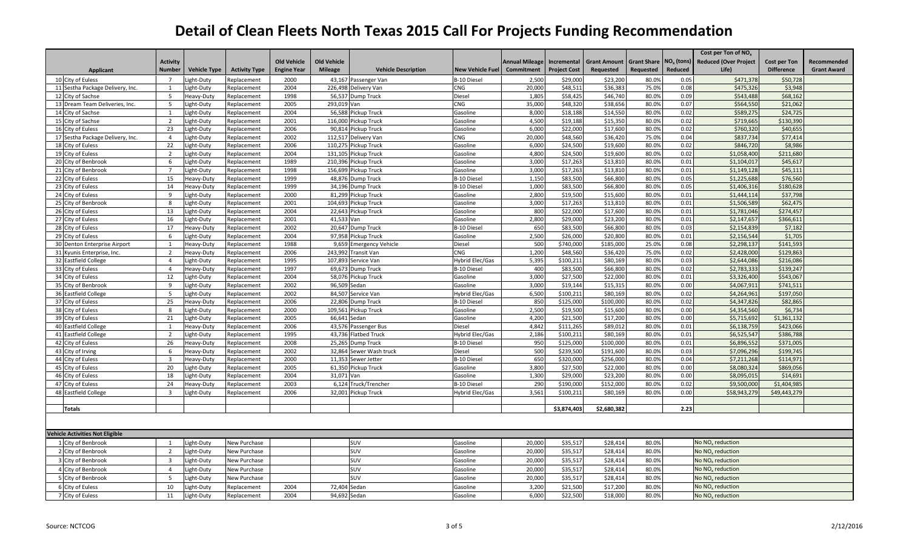|                                        |                         |                     |                      |                    |                    |                            |                         |                       |                     |                     |                    |                        | Cost per Ton of NO <sub>v</sub> |                   |                    |
|----------------------------------------|-------------------------|---------------------|----------------------|--------------------|--------------------|----------------------------|-------------------------|-----------------------|---------------------|---------------------|--------------------|------------------------|---------------------------------|-------------------|--------------------|
|                                        | <b>Activity</b>         |                     |                      | <b>Old Vehicle</b> | <b>Old Vehicle</b> |                            |                         | <b>Annual Mileage</b> | Incremental         | <b>Grant Amount</b> | <b>Grant Share</b> | NO <sub>x</sub> (tons) | <b>Reduced (Over Project</b>    | Cost per Ton      | Recommended        |
| <b>Applicant</b>                       | <b>Number</b>           | <b>Vehicle Type</b> | <b>Activity Type</b> | <b>Engine Year</b> | <b>Mileage</b>     | <b>Vehicle Description</b> | <b>New Vehicle Fuel</b> | Commitment            | <b>Project Cost</b> | Requested           | Requested          | Reduced                | Life)                           | <b>Difference</b> | <b>Grant Award</b> |
| 10 City of Euless                      | $\overline{7}$          | ight-Duty           | Replacement          | 2000               |                    | 43,167 Passenger Van       | <b>B-10 Diesel</b>      | 2,500                 | \$29,000            | \$23,200            | 80.0%              | 0.05                   | \$471,378                       | \$50,728          |                    |
| 11 Sestha Package Delivery, Inc.       | $\overline{1}$          | Light-Duty          | Replacement          | 2004               | 226,498            | Delivery Van               | <b>CNG</b>              | 20,000                | \$48,511            | \$36,383            | 75.0%              | 0.08                   | \$475,326                       | \$3,948           |                    |
| 12 City of Sachse                      | -5                      | Heavy-Duty          | Replacement          | 1998               |                    | 56,537 Dump Truck          | Diesel                  | 1,805                 | \$58,425            | \$46,740            | 80.0%              | 0.09                   | \$543,488                       | \$68,162          |                    |
| 13 Dream Team Deliveries, Inc.         | 5                       | Light-Duty          | Replacement          | 2005               | 293,019 Van        |                            | <b>CNG</b>              | 35,000                | \$48,320            | \$38,656            | 80.0%              | 0.07                   | \$564,550                       | \$21,062          |                    |
| 14 City of Sachse                      | $\overline{1}$          | Light-Duty          | Replacement          | 2004               | 56.588             | Pickup Truck               | Gasoline                | 8,000                 | \$18,188            | \$14,550            | 80.0%              | 0.02                   | \$589,275                       | \$24.72           |                    |
| 15 City of Sachse                      | $\overline{2}$          | Light-Duty          | Replacement          | 2001               | 116,000            | Pickup Truck               | Gasoline                | 4,500                 | \$19,188            | \$15,350            | 80.0%              | 0.02                   | \$719,665                       | \$130,39          |                    |
| 16 City of Euless                      | 23                      | ight-Duty           | Replacement          | 2006               | 90,814             | Pickup Truck               | Gasoline                | 6,000                 | \$22,000            | \$17,600            | 80.0%              | 0.02                   | \$760,320                       | \$40,65           |                    |
| 17 Sestha Package Delivery, Inc.       | $\overline{4}$          | ight-Duty.          | Replacement          | 2002               |                    | 112,517 Delivery Van       | <b>CNG</b>              | 20,000                | \$48,560            | \$36,420            | 75.0%              | 0.04                   | \$837,734                       | \$77,41           |                    |
| 18 City of Euless                      | 22                      | Light-Duty          | Replacement          | 2006               | 110,275            | Pickup Truck               | Gasoline                | 6,000                 | \$24,500            | \$19,600            | 80.0%              | 0.02                   | \$846,720                       | \$8,98            |                    |
| 19 City of Euless                      | 2                       | ight-Duty           | Replacement          | 2004               | 131,105            | Pickup Truck               | Gasoline                | 4,800                 | \$24,500            | \$19,600            | 80.0%              | 0.02                   | \$1,058,400                     | \$211,680         |                    |
| 20 City of Benbrook                    | 6                       | Light-Duty          | Replacement          | 1989               | 210,396            | Pickup Truck               | Gasoline                | 3,000                 | \$17,263            | \$13,810            | 80.0%              | 0.01                   | \$1,104,017                     | \$45,61           |                    |
| 21 City of Benbrook                    | $\overline{7}$          | ight-Duty.          | Replacement          | 1998               | 156,699            | Pickup Truck               | Gasoline                | 3,000                 | \$17,263            | \$13,810            | 80.0%              | 0.01                   | \$1,149,128                     | \$45,11           |                    |
| 22 City of Euless                      | 15                      | Heavy-Duty          | Replacement          | 1999               |                    | 48,876 Dump Truck          | B-10 Diesel             | 1,150                 | \$83,500            | \$66,800            | 80.0%              | 0.05                   | \$1,225,688                     | \$76,560          |                    |
| 23 City of Euless                      | 14                      | Heavy-Duty          | Replacement          | 1999               |                    | 34,196 Dump Truck          | <b>B-10 Diesel</b>      | 1,000                 | \$83,500            | \$66,800            | 80.0%              | 0.05                   | \$1,406,316                     | \$180,62          |                    |
| 24 City of Euless                      | $\mathbf{q}$            | ight-Duty.          | Replacement          | 2000               |                    | 81,299 Pickup Truck        | Gasoline                | 2,800                 | \$19,500            | \$15,600            | 80.0%              | 0.01                   | \$1,444,114                     | \$37,798          |                    |
| 25 City of Benbrook                    | 8                       | Light-Duty          | Replacement          | 2001               |                    | 104,693 Pickup Truck       | Gasoline                | 3,000                 | \$17,263            | \$13,810            | 80.0%              | 0.01                   | \$1,506,589                     | \$62,47           |                    |
| 26 City of Euless                      | 13                      | ight-Duty           | Replacement          | 2004               |                    | 22,643 Pickup Truck        | Gasoline                | 800                   | \$22,000            | \$17,600            | 80.0%              | 0.01                   | \$1,781,046                     | \$274,457         |                    |
| 27 City of Euless                      | 16                      | ight-Duty           | Replacement          | 2001               | 41,533 Van         |                            | Gasoline                | 2,800                 | \$29,000            | \$23,200            | 80.0%              | 0.01                   | \$2,147,657                     | \$366,611         |                    |
| 28 City of Euless                      | 17                      | Heavy-Duty          | Replacement          | 2002               |                    | 20,647 Dump Truck          | <b>B-10 Diesel</b>      | 650                   | \$83,500            | \$66,800            | 80.0%              | 0.03                   | \$2,154,839                     | \$7,182           |                    |
| 29 City of Euless                      | -6                      | ight-Duty           | Replacement          | 2004               |                    | 97,958 Pickup Truck        | Gasoline                | 2,500                 | \$26,000            | \$20,800            | 80.0%              | 0.01                   | \$2,156,544                     | \$1,70            |                    |
| 30 Denton Enterprise Airport           | -1                      | Heavy-Duty          | Replacement          | 1988               |                    | 9,659 Emergency Vehicle    | Diesel                  | 500                   | \$740,000           | \$185,000           | 25.0%              | 0.08                   | \$2,298,137                     | \$141,593         |                    |
| 31 Kyunis Enterprise, Inc.             | $\overline{2}$          | Heavy-Duty          | Replacement          | 2006               |                    | 243,992 Transit Van        | CNG                     | 1,200                 | \$48,560            | \$36,420            | 75.0%              | 0.02                   | \$2,428,000                     | \$129,863         |                    |
| 32 Eastfield College                   | $\overline{a}$          | ight-Duty.          | Replacement          | 1995               |                    | 107,893 Service Van        | Hybrid Elec/Gas         | 5,395                 | \$100,211           | \$80,169            | 80.09              | 0.03                   | \$2,644,086                     | \$216,08          |                    |
| 33 City of Euless                      | $\overline{4}$          | Heavy-Duty          | Replacement          | 1997               | 69,673             | <b>Dump Truck</b>          | B-10 Diesel             | 400                   | \$83,500            | \$66,800            | 80.0%              | 0.02                   | \$2,783,333                     | \$139,247         |                    |
| 34 City of Euless                      | 12                      | Light-Duty          | Replacement          | 2004               |                    | 58,076 Pickup Truck        | Gasoline                | 3,000                 | \$27,500            | \$22,000            | 80.0%              | 0.01                   | \$3,326,400                     | \$543,067         |                    |
| 35 City of Benbrook                    | 9                       | Light-Duty          | Replacement          | 2002               | 96,509             | Sedan                      | Gasoline                | 3,000                 | \$19,144            | \$15,315            | 80.0%              | 0.00                   | \$4,067,911                     | \$741,51          |                    |
| 36 Eastfield College                   | - 5                     | Light-Duty          | Replacement          | 2002               |                    | 84,507 Service Van         | Hybrid Elec/Gas         | 6,500                 | \$100,211           | \$80,169            | 80.0%              | 0.02                   | \$4,264,961                     | \$197,05          |                    |
| 37 City of Euless                      | 25                      | Heavy-Duty          | Replacement          | 2006               |                    | 22,806 Dump Truck          | <b>B-10 Diesel</b>      | 850                   | \$125,000           | \$100,000           | 80.0%              | 0.02                   | \$4,347,826                     | \$82,86           |                    |
| 38 City of Euless                      | 8                       | Light-Duty          | Replacement          | 2000               |                    | 109,561 Pickup Truck       | Gasoline                | 2,500                 | \$19,500            | \$15,600            | 80.0%              | 0.00                   | \$4,354,560                     | \$6,73            |                    |
| 39 City of Euless                      | 21                      | Light-Duty          | Replacement          | 2005               | 66,641             | Sedan                      | Gasoline                | 4,200                 | \$21,500            | \$17,200            | 80.0%              | 0.00                   | \$5,715,692                     | \$1,361,13        |                    |
| 40 Eastfield College                   | $\mathbf{1}$            | Heavy-Duty          | Replacement          | 2006               |                    | 43,576 Passenger Bus       | Diesel                  | 4,842                 | \$111,265           | \$89,012            | 80.0%              | 0.01                   | \$6,138,759                     | \$423,066         |                    |
| 41 Eastfield College                   | $\overline{2}$          | ight-Duty           | Replacement          | 1995               |                    | 43,736 Flatbed Truck       | Hybrid Elec/Gas         | 2,186                 | \$100,211           | \$80,169            | 80.0%              | 0.01                   | \$6,525,547                     | \$386,78          |                    |
| 42 City of Euless                      | 26                      | Heavy-Duty          | Replacement          | 2008               |                    | 25.265 Dump Truck          | <b>B-10 Diesel</b>      | 950                   | \$125,000           | \$100.000           | 80.0%              | 0.01                   | \$6,896,552                     | \$371.00          |                    |
| 43 City of Irving                      | 6                       | Heavy-Duty          | Replacement          | 2002               |                    | 32,864 Sewer Wash truck    | Diesel                  | 500                   | \$239,500           | \$191,600           | 80.0%              | 0.03                   | \$7,096,296                     | \$199,745         |                    |
| 44 City of Euless                      | $\overline{\mathbf{3}}$ | Heavy-Duty          | Replacement          | 2000               |                    | 11,353 Sewer Jetter        | B-10 Diesel             | 650                   | \$320,000           | \$256,000           | 80.0%              | 0.04                   | \$7,211,268                     | \$114,971         |                    |
| 45 City of Euless                      | 20                      | .ight-Duty          | Replacement          | 2005               |                    | 61,350 Pickup Truck        | Gasoline                | 3,800                 | \$27,500            | \$22,000            | 80.0%              | 0.00                   | \$8,080,324                     | \$869,05          |                    |
| 46 City of Euless                      | 18                      | ight-Duty           | Replacement          | 2004               | 31,071 Van         |                            | Gasoline                | 1,300                 | \$29,000            | \$23,200            | 80.0%              | 0.00                   | \$8,095,015                     | \$14,691          |                    |
| 47 City of Euless                      | 24                      | Heavy-Duty          | Replacement          | 2003               |                    | 6,124 Truck/Trencher       | <b>B-10 Diesel</b>      | 290                   | \$190,000           | \$152,000           | 80.0%              | 0.02                   | \$9,500,000                     | \$1,404,98        |                    |
| 48 Eastfield College                   | $\overline{3}$          | ight-Duty.          | Replacement          | 2006               |                    | 32,001 Pickup Truck        | Hybrid Elec/Gas         | 3,561                 | \$100,211           | \$80,169            | 80.0%              | 0.00                   | \$58,943,279                    | \$49,443,27       |                    |
|                                        |                         |                     |                      |                    |                    |                            |                         |                       |                     |                     |                    |                        |                                 |                   |                    |
| <b>Totals</b>                          |                         |                     |                      |                    |                    |                            |                         |                       | \$3,874,403         | \$2,680,382         |                    | 2.23                   |                                 |                   |                    |
|                                        |                         |                     |                      |                    |                    |                            |                         |                       |                     |                     |                    |                        |                                 |                   |                    |
|                                        |                         |                     |                      |                    |                    |                            |                         |                       |                     |                     |                    |                        |                                 |                   |                    |
| <b>Vehicle Activities Not Eligible</b> |                         |                     |                      |                    |                    |                            |                         |                       |                     |                     |                    |                        |                                 |                   |                    |
| 1 City of Benbrook                     | 1                       | Light-Duty          | New Purchase         |                    |                    | SUV                        | Gasoline                | 20,000                | \$35,517            | \$28,414            | 80.0%              |                        | No NO <sub>x</sub> reduction    |                   |                    |
| 2 City of Benbrook                     | $\overline{2}$          | ight-Duty           | New Purchase         |                    |                    | SUV                        | Gasoline                | 20,000                | \$35,517            | \$28,414            | 80.0%              |                        | No $NOx$ reduction              |                   |                    |
| 3 City of Benbrook                     | $\overline{3}$          | ight-Duty.          | New Purchase         |                    |                    | SUV                        | Gasoline                | 20,000                | \$35,517            | \$28,414            | 80.0%              |                        | No NO <sub>x</sub> reduction    |                   |                    |
| 4 City of Benbrook                     | $\overline{a}$          | ight-Duty.          | New Purchase         |                    |                    | SUV                        | Gasoline                | 20,000                | \$35,517            | \$28,414            | 80.0%              |                        | No $NOx$ reduction              |                   |                    |
| 5 City of Benbrook                     | - 5                     | Light-Duty          | New Purchase         |                    |                    | <b>SUV</b>                 | Gasoline                | 20,000                | \$35,517            | \$28,414            | 80.0%              |                        | No NO <sub>x</sub> reduction    |                   |                    |
|                                        | 10                      |                     |                      | 2004               |                    | Sedan                      | Gasoline                |                       | \$21,500            |                     | 80.0%              |                        | No NO <sub>v</sub> reduction    |                   |                    |
| 6 City of Euless                       |                         | ight-Duty.          | Replacement          |                    | 72,404             |                            |                         | 3,200                 |                     | \$17,200            |                    |                        |                                 |                   |                    |
| 7 City of Euless                       | 11                      | Light-Duty          | Replacement          | 2004               | 94,692 Sedan       |                            | Gasoline                | 6,000                 | \$22,500            | \$18,000            | 80.0%              |                        | No NO <sub>v</sub> reduction    |                   |                    |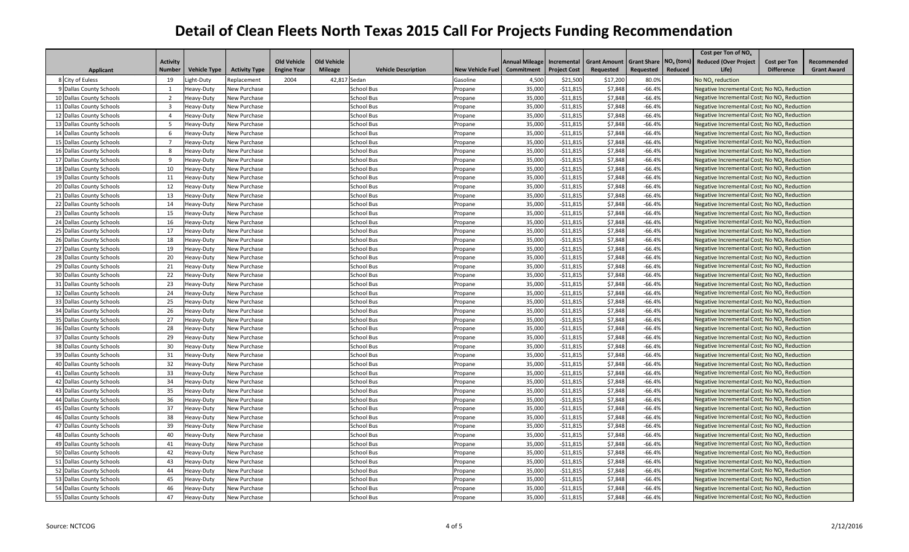|                          |                 |                     |                      |                    |                    |                            |                         |                       |                     |                     |                    |                        | Cost per Ton of NO <sub>x</sub>                         |                                                         |                    |  |
|--------------------------|-----------------|---------------------|----------------------|--------------------|--------------------|----------------------------|-------------------------|-----------------------|---------------------|---------------------|--------------------|------------------------|---------------------------------------------------------|---------------------------------------------------------|--------------------|--|
|                          | <b>Activity</b> |                     |                      | <b>Old Vehicle</b> | <b>Old Vehicle</b> |                            |                         | <b>Annual Mileage</b> | Incremental         | <b>Grant Amount</b> | <b>Grant Share</b> | NO <sub>v</sub> (tons) | <b>Reduced (Over Project</b>                            | <b>Cost per Ton</b>                                     | Recommended        |  |
| <b>Applicant</b>         | <b>Number</b>   | <b>Vehicle Type</b> | <b>Activity Type</b> | <b>Engine Year</b> | <b>Mileage</b>     | <b>Vehicle Description</b> | <b>New Vehicle Fuel</b> | Commitment            | <b>Project Cost</b> | Requested           | Requested          | Reduced                | Life)                                                   | <b>Difference</b>                                       | <b>Grant Award</b> |  |
| 8 City of Euless         | 19              | Light-Duty          | Replacement          | 2004               | 42,817 Sedan       |                            | Gasoline                | 4,500                 | \$21,500            | \$17,200            | 80.0%              |                        | No NO <sub>v</sub> reduction                            |                                                         |                    |  |
| 9 Dallas County Schools  | $\overline{1}$  | Heavy-Duty          | New Purchase         |                    |                    | <b>School Bus</b>          | Propane                 | 35,000                | $-511,815$          | \$7,848             | $-66.49$           |                        | Negative Incremental Cost; No NO <sub>x</sub> Reduction |                                                         |                    |  |
| 10 Dallas County Schools | $\overline{2}$  | Heavy-Duty          | New Purchase         |                    |                    | <b>School Bus</b>          | Propane                 | 35,000                | $-511,815$          | \$7,848             | $-66.49$           |                        | Negative Incremental Cost; No NO <sub>v</sub> Reduction |                                                         |                    |  |
| 11 Dallas County Schools | $\overline{3}$  | Heavy-Duty          | New Purchase         |                    |                    | <b>School Bus</b>          | Propane                 | 35,000                | $-511,815$          | \$7,848             | $-66.49$           |                        | Negative Incremental Cost; No NO <sub>v</sub> Reduction |                                                         |                    |  |
| 12 Dallas County Schools | $\Delta$        | Heavy-Duty          | New Purchase         |                    |                    | <b>School Bus</b>          | Propane                 | 35,000                | $-$11,815$          | \$7,848             | $-66.49$           |                        |                                                         | Negative Incremental Cost; No NO <sub>x</sub> Reduction |                    |  |
| 13 Dallas County Schools | - 5             | Heavy-Duty          | New Purchase         |                    |                    | <b>School Bus</b>          | Propane                 | 35,000                | $-$11,815$          | \$7,848             | $-66.4%$           |                        | Negative Incremental Cost; No NO <sub>x</sub> Reduction |                                                         |                    |  |
| 14 Dallas County Schools | 6               | Heavy-Duty          | New Purchase         |                    |                    | <b>School Bus</b>          | Propane                 | 35,000                | $-511,815$          | \$7,848             | $-66.4%$           |                        | Negative Incremental Cost; No NO <sub>v</sub> Reduction |                                                         |                    |  |
| 15 Dallas County Schools | $\overline{7}$  | Heavy-Duty          | New Purchase         |                    |                    | <b>School Bus</b>          | Propane                 | 35,000                | $-$11,815$          | \$7,848             | $-66.4%$           |                        | Negative Incremental Cost; No NO <sub>v</sub> Reduction |                                                         |                    |  |
| 16 Dallas County Schools | 8               | Heavy-Duty          | New Purchase         |                    |                    | School Bus                 | Propane                 | 35,000                | $-$11,815$          | \$7,848             | $-66.4%$           |                        | Negative Incremental Cost; No NO <sub>x</sub> Reduction |                                                         |                    |  |
| 17 Dallas County Schools | 9               | Heavy-Duty          | New Purchase         |                    |                    | <b>School Bus</b>          | Propane                 | 35,000                | $-$11,815$          | \$7,848             | $-66.4%$           |                        | Negative Incremental Cost; No NO <sub>x</sub> Reduction |                                                         |                    |  |
| 18 Dallas County Schools | 10              | Heavy-Duty          | New Purchase         |                    |                    | <b>School Bus</b>          | Propane                 | 35,000                | $-$11,815$          | \$7,848             | $-66.49$           |                        | Negative Incremental Cost; No NO <sub>v</sub> Reduction |                                                         |                    |  |
| 19 Dallas County Schools | 11              | Heavy-Duty          | New Purchase         |                    |                    | <b>School Bus</b>          | Propane                 | 35,000                | $-511,815$          | \$7,848             | $-66.49$           |                        | Negative Incremental Cost; No NO <sub>v</sub> Reduction |                                                         |                    |  |
| 20 Dallas County Schools | 12              | Heavy-Duty          | New Purchase         |                    |                    | <b>School Bus</b>          | Propane                 | 35,000                | $-511,815$          | \$7,848             | $-66.49$           |                        | Negative Incremental Cost; No NO <sub>v</sub> Reduction |                                                         |                    |  |
| 21 Dallas County Schools | 13              | Heavy-Duty          | New Purchase         |                    |                    | School Bus                 | Propane                 | 35,000                | $-$11,815$          | \$7,848             | $-66.49$           |                        | Negative Incremental Cost; No NO <sub>x</sub> Reduction |                                                         |                    |  |
| 22 Dallas County Schools | 14              | Heavy-Duty          | New Purchase         |                    |                    | <b>School Bus</b>          | Propane                 | 35,000                | $-511,815$          | \$7,848             | $-66.49$           |                        | Negative Incremental Cost; No NO <sub>v</sub> Reduction |                                                         |                    |  |
| 23 Dallas County Schools | 15              | Heavy-Duty          | New Purchase         |                    |                    | <b>School Bus</b>          | Propane                 | 35,000                | $-$11,815$          | \$7,848             | $-66.4%$           |                        | Negative Incremental Cost; No NO <sub>v</sub> Reduction |                                                         |                    |  |
| 24 Dallas County Schools | 16              | Heavy-Duty          | New Purchase         |                    |                    | <b>School Bus</b>          | Propane                 | 35,000                | $-511,815$          | \$7,848             | $-66.4%$           |                        | Negative Incremental Cost; No NO <sub>x</sub> Reduction |                                                         |                    |  |
| 25 Dallas County Schools | 17              | Heavy-Duty          | New Purchase         |                    |                    | <b>School Bus</b>          | Propane                 | 35,000                | $-$11,815$          | \$7,848             | $-66.4%$           |                        | Negative Incremental Cost; No NO <sub>x</sub> Reduction |                                                         |                    |  |
| 26 Dallas County Schools | 18              | Heavy-Duty          | New Purchase         |                    |                    | <b>School Bus</b>          | Propane                 | 35,000                | $-$11,815$          | \$7,848             | $-66.4%$           |                        | Negative Incremental Cost; No NO <sub>v</sub> Reduction |                                                         |                    |  |
| 27 Dallas County Schools | 19              | Heavy-Duty          | New Purchase         |                    |                    | School Bus                 | Propane                 | 35,000                | $-511,815$          | \$7,848             | $-66.4%$           |                        | Negative Incremental Cost; No NO <sub>v</sub> Reduction |                                                         |                    |  |
| 28 Dallas County Schools | 20              | Heavy-Duty          | New Purchase         |                    |                    | <b>School Bus</b>          | Propane                 | 35,000                | $-$11,815$          | \$7,848             | $-66.4%$           |                        | Negative Incremental Cost; No NO <sub>v</sub> Reduction |                                                         |                    |  |
| 29 Dallas County Schools | 21              | Heavy-Duty          | New Purchase         |                    |                    | <b>School Bus</b>          | Propane                 | 35,00                 | $-511,815$          | \$7,848             | $-66.49$           |                        | Negative Incremental Cost; No NO <sub>x</sub> Reduction |                                                         |                    |  |
| 30 Dallas County Schools | 22              | Heavy-Duty          | New Purchase         |                    |                    | <b>School Bus</b>          | Propane                 | 35,000                | $-511,815$          | \$7,848             | $-66.49$           |                        | Negative Incremental Cost; No NO <sub>x</sub> Reduction |                                                         |                    |  |
| 31 Dallas County Schools | 23              | Heavy-Duty          | New Purchase         |                    |                    | <b>School Bus</b>          | Propane                 | 35,000                | $-511,815$          | \$7,848             | $-66.49$           |                        | Negative Incremental Cost; No NO <sub>v</sub> Reduction |                                                         |                    |  |
| 32 Dallas County Schools | 24              | Heavy-Duty          | New Purchase         |                    |                    | <b>School Bus</b>          | Propane                 | 35,000                | $-511,815$          | \$7,848             | $-66.49$           |                        | Negative Incremental Cost; No NO <sub>x</sub> Reduction |                                                         |                    |  |
| 33 Dallas County Schools | 25              | Heavy-Duty          | New Purchase         |                    |                    | <b>School Bus</b>          | Propane                 | 35,000                | $-$11,815$          | \$7,848             | $-66.49$           |                        | Negative Incremental Cost; No NO <sub>x</sub> Reduction |                                                         |                    |  |
| 34 Dallas County Schools | 26              | Heavy-Duty          | New Purchase         |                    |                    | <b>School Bus</b>          | Propane                 | 35,000                | $-$11,815$          | \$7,848             | $-66.49$           |                        | Negative Incremental Cost; No NO <sub>v</sub> Reduction |                                                         |                    |  |
| 35 Dallas County Schools | 27              | Heavy-Duty          | New Purchase         |                    |                    | <b>School Bus</b>          | Propane                 | 35,000                | $-511,815$          | \$7,848             | $-66.4%$           |                        | Negative Incremental Cost; No NO <sub>v</sub> Reduction |                                                         |                    |  |
| 36 Dallas County Schools | 28              | Heavy-Duty          | New Purchase         |                    |                    | School Bus                 | Propane                 | 35,000                | $-511,815$          | \$7,848             | $-66.4%$           |                        | Negative Incremental Cost; No NO <sub>v</sub> Reduction |                                                         |                    |  |
| 37 Dallas County Schools | 29              | Heavy-Duty          | New Purchase         |                    |                    | <b>School Bus</b>          | Propane                 | 35,000                | $-511,815$          | \$7,848             | $-66.4%$           |                        | Negative Incremental Cost; No NO <sub>x</sub> Reduction |                                                         |                    |  |
| 38 Dallas County Schools | 30              | Heavy-Duty          | New Purchase         |                    |                    | School Bus                 | Propane                 | 35,000                | $-$11,815$          | \$7,848             | $-66.4%$           |                        | Negative Incremental Cost; No NO <sub>x</sub> Reduction |                                                         |                    |  |
| 39 Dallas County Schools | 31              | Heavy-Duty          | New Purchase         |                    |                    | <b>School Bus</b>          | Propane                 | 35,000                | $-511,815$          | \$7,848             | $-66.4%$           |                        | Negative Incremental Cost; No NO <sub>v</sub> Reduction |                                                         |                    |  |
| 40 Dallas County Schools | 32              | Heavy-Duty          | New Purchase         |                    |                    | School Bus                 | Propane                 | 35,00                 | $-511,815$          | \$7,848             | $-66.49$           |                        | Negative Incremental Cost; No NO, Reduction             |                                                         |                    |  |
| 41 Dallas County Schools | 33              | Heavy-Duty          | New Purchase         |                    |                    | <b>School Bus</b>          | Propane                 | 35,000                | $-511,815$          | \$7,848             | $-66.49$           |                        | Negative Incremental Cost; No NO <sub>x</sub> Reduction |                                                         |                    |  |
| 42 Dallas County Schools | 34              | Heavy-Duty          | New Purchase         |                    |                    | <b>School Bus</b>          | Propane                 | 35,000                | $-511,815$          | \$7,848             | $-66.49$           |                        | Negative Incremental Cost; No NO <sub>x</sub> Reduction |                                                         |                    |  |
| 43 Dallas County Schools | 35              | Heavy-Duty          | New Purchase         |                    |                    | <b>School Bus</b>          | Propane                 | 35,000                | $-511,815$          | \$7,848             | $-66.49$           |                        | Negative Incremental Cost; No NO <sub>v</sub> Reduction |                                                         |                    |  |
| 44 Dallas County Schools | 36              | Heavy-Duty          | New Purchase         |                    |                    | <b>School Bus</b>          | Propane                 | 35,000                | $-511,815$          | \$7,848             | $-66.4%$           |                        | Negative Incremental Cost; No NO <sub>v</sub> Reduction |                                                         |                    |  |
| 45 Dallas County Schools | 37              | Heavy-Duty          | New Purchase         |                    |                    | <b>School Bus</b>          | Propane                 | 35,000                | $-511,815$          | \$7,848             | $-66.4%$           |                        | Negative Incremental Cost; No NO <sub>x</sub> Reduction |                                                         |                    |  |
| 46 Dallas County Schools | 38              | Heavy-Duty          | New Purchase         |                    |                    | <b>School Bus</b>          | Propane                 | 35,000                | $-511,815$          | \$7,848             | $-66.4%$           |                        | Negative Incremental Cost; No NO <sub>x</sub> Reduction |                                                         |                    |  |
| 47 Dallas County Schools | 39              | Heavy-Duty          | New Purchase         |                    |                    | <b>School Bus</b>          | Propane                 | 35,000                | $-511,815$          | \$7,848             | $-66.4%$           |                        | Negative Incremental Cost; No NO <sub>v</sub> Reduction |                                                         |                    |  |
| 48 Dallas County Schools | 40              | Heavy-Duty          | New Purchase         |                    |                    | <b>School Bus</b>          | Propane                 | 35,000                | $-511,815$          | \$7,848             | $-66.4%$           |                        | Negative Incremental Cost; No NO <sub>v</sub> Reduction |                                                         |                    |  |
| 49 Dallas County Schools | 41              | Heavy-Duty          | New Purchase         |                    |                    | <b>School Bus</b>          | Propane                 | 35,000                | $-$11,815$          | \$7,848             | $-66.49$           |                        | Negative Incremental Cost; No NO <sub>x</sub> Reduction |                                                         |                    |  |
| 50 Dallas County Schools | 42              | Heavy-Duty          | New Purchase         |                    |                    | <b>School Bus</b>          | Propane                 | 35,000                | $-$11,815$          | \$7,848             | $-66.4%$           |                        | Negative Incremental Cost; No NO <sub>x</sub> Reduction |                                                         |                    |  |
| 51 Dallas County Schools | 43              | Heavy-Duty          | New Purchase         |                    |                    | School Bus                 | Propane                 | 35,000                | $-511,815$          | \$7,848             | $-66.49$           |                        | Negative Incremental Cost; No NO, Reduction             |                                                         |                    |  |
| 52 Dallas County Schools | 44              | Heavy-Duty          | New Purchase         |                    |                    | <b>School Bus</b>          | Propane                 | 35,000                | $-511,815$          | \$7,848             | $-66.49$           |                        | Negative Incremental Cost; No NO <sub>v</sub> Reduction |                                                         |                    |  |
| 53 Dallas County Schools | 45              | Heavy-Duty          | New Purchase         |                    |                    | <b>School Bus</b>          | Propane                 | 35,000                | $-$11,815$          | \$7,848             | $-66.49$           |                        | Negative Incremental Cost; No NO <sub>x</sub> Reduction |                                                         |                    |  |
| 54 Dallas County Schools | 46              | Heavy-Duty          | New Purchase         |                    |                    | <b>School Bus</b>          | Propane                 | 35,000                | $-$11,815$          | \$7,848             | $-66.49$           |                        | Negative Incremental Cost; No NO <sub>x</sub> Reduction |                                                         |                    |  |
| 55 Dallas County Schools | 47              | Heavy-Duty          | New Purchase         |                    |                    | <b>School Bus</b>          | Propane                 | 35,000                | $-$11,815$          | \$7,848             | $-66.4%$           |                        | Negative Incremental Cost; No NO <sub>v</sub> Reduction |                                                         |                    |  |
|                          |                 |                     |                      |                    |                    |                            |                         |                       |                     |                     |                    |                        |                                                         |                                                         |                    |  |